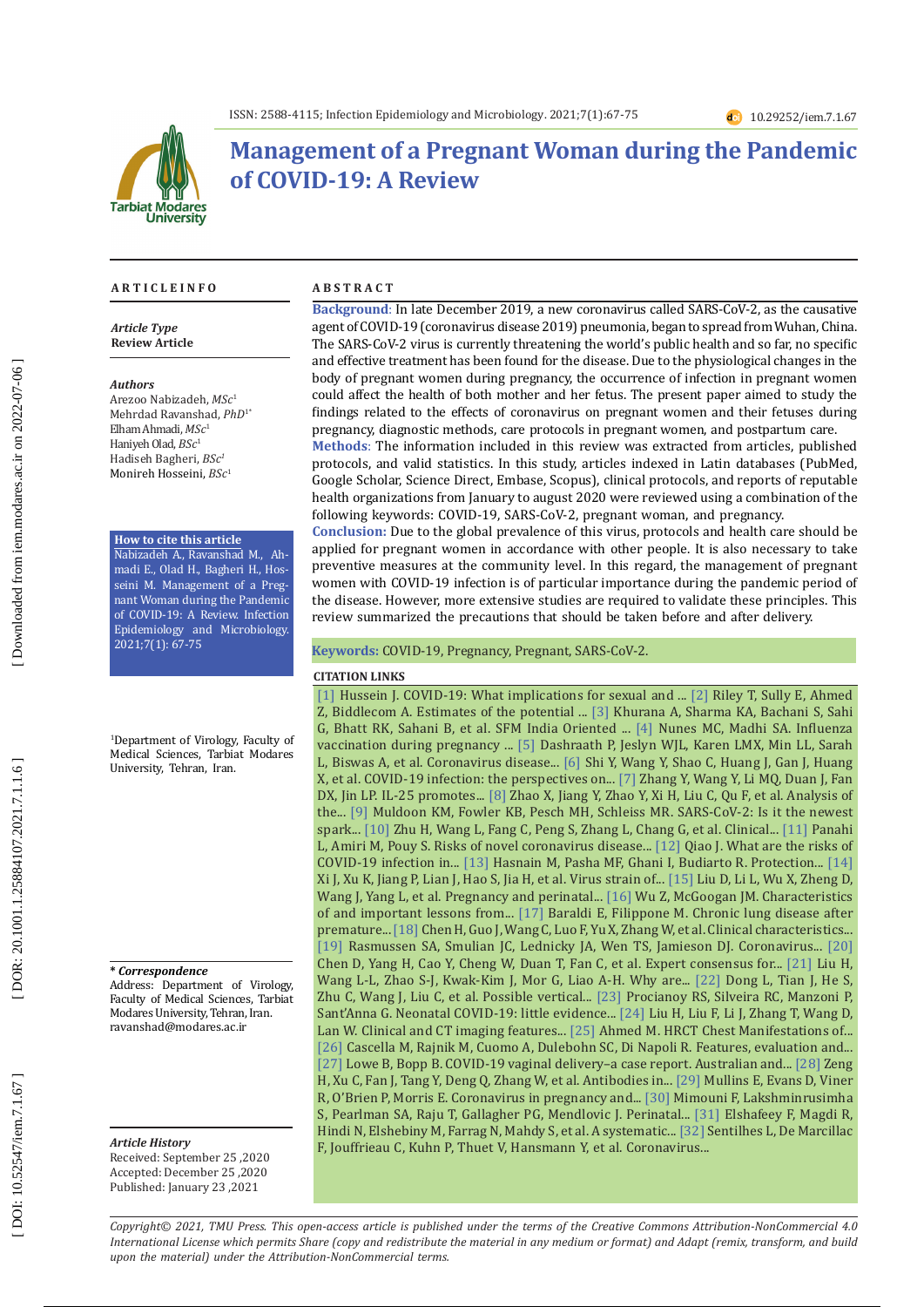

# **Management of a Pregnant Woman during the Pandemic of COVID-19: A Review**

#### **A R T I C L E I N F O**

*Article Type* **Review Article**

#### *Authors*

Arezoo Nabizadeh, *MSc* 1 Mehrdad Ravanshad, *PhD*1\* Elham Ahmadi, *MSc* 1 Haniyeh Olad, *BSc* 1 Hadiseh Bagheri, *BSc 1* Monireh Hosseini, *BSc* 1

#### **How to cite this article**

Nabizadeh A., Ravanshad M., Ah madi E., Olad H., Bagheri H., Hos seini M. Management of a Preg nant Woman during the Pandemic of COVID-19: A Review. Infection Epidemiology and Microbiology. 2021;7(1): 67-75

1 Department of Virology, Faculty of Medical Sciences, Tarbiat Modares University, Tehran, Iran.

#### **\*** *Correspondence*

Address: Department of Virology, Faculty of Medical Sciences, Tarbiat Modares University, Tehran, Iran. ravanshad@modares.ac.ir

*Article History*

Received: September 25 ,2020 Accepted: December 25 ,2020 Published: January 23 ,2021

#### **A B S T R A C T**

**Background**: In late December 2019, a new coronavirus called SARS-CoV-2, as the causative agent of COVID-19 (coronavirus disease 2019) pneumonia, began to spread from Wuhan, China. The SARS-CoV-2 virus is currently threatening the world's public health and so far, no specific and effective treatment has been found for the disease. Due to the physiological changes in the body of pregnant women during pregnancy, the occurrence of infection in pregnant women could affect the health of both mother and her fetus. The present paper aimed to study the findings related to the effects of coronavirus on pregnant women and their fetuses during pregnancy, diagnostic methods, care protocols in pregnant women, and postpartum care.

**Methods**: The information included in this review was extracted from articles, published protocols, and valid statistics. In this study, articles indexed in Latin databases (PubMed, Google Scholar, Science Direct, Embase, Scopus), clinical protocols, and reports of reputable health organizations from January to august 2020 were reviewed using a combination of the following keywords: COVID-19, SARS-CoV-2, pregnant woman, and pregnancy.

**Conclusion:** Due to the global prevalence of this virus, protocols and health care should be applied for pregnant women in accordance with other people. It is also necessary to take preventive measures at the community level. In this regard, the management of pregnant women with COVID-19 infection is of particular importance during the pandemic period of the disease. However, more extensive studies are required to validate these principles. This review summarized the precautions that should be taken before and after delivery.

#### **Keywords:** COVID-19, Pregnancy, Pregnant, SARS-CoV-2.

#### **CITATION LINKS**

L, Biswas A, et al. Coronavirus disease... [\[6\]](https://www.nature.com/articles/s41418-020-0530-3?fbclid=IwAR1CaaF8eze1pYK8PA1rDBMCy7TejgHITTkIJt6BKpb6NOqbww_3k-7PDmY) Shi Y, Wang Y, Shao C, Huang J, Gan J, Huang [1] Hussein J. COVID-19: What implications for sexual and ... [\[2\]](https://www.jstor.org/stable/10.1363/46e9020) Riley T, Sully E, Ahmed Z, Biddlecom A. Estimates of the potential ... [\[3\]](https://link.springer.com/article/10.1007/s40556-020-00254-7) Khurana A, Sharma KA, Bachani S, Sahi G, Bhatt RK, Sahani B, et al. SFM India Oriented ... [\[4\]](https://www.google.com/url?sa=t&rct=j&q=&esrc=s&source=web&cd=&cad=rja&uact=8&ved=2ahUKEwjYg4K1reHuAhUSTsAKHW8dBUoQFjABegQIBBAC&url=https%3A%2F%2Fwww.ncbi.nlm.nih.gov%2Fpmc%2Farticles%2FPMC5861794%2F&usg=AOvVaw0UJBDOjlFmGXJ6dY1dSGPz) Nunes MC, Madhi SA. Influenza vaccination during pregnancy ... [\[5\]](https://www.sciencedirect.com/science/article/pii/S0002937820303434) Dashraath P, Jeslyn WJL, Karen LMX, Min LL, Sarah X, et al. COVID-19 infection: the perspectives on... [\[7\]](https://www.spandidos-publications.com/10.3892/etm.2017.5638) Zhang Y, Wang Y, Li MQ, Duan J, Fan DX, Jin LP. IL-25 promotes... [\[8\]](https://link.springer.com/article/10.1007/s10096-020-03897-6) Zhao X, Jiang Y, Zhao Y, Xi H, Liu C, Qu F, et al. Analysis of the... [\[9\]](https://www.sciencedirect.com/science/article/pii/S1386653220301141) Muldoon KM, Fowler KB, Pesch MH, Schleiss MR. SARS-CoV-2: Is it the newest spark... [\[10\]](https://www.ncbi.nlm.nih.gov/pmc/articles/pmc7036645/) Zhu H, Wang L, Fang C, Peng S, Zhang L, Chang G, et al. Clinical... [\[11\]](https://www.ncbi.nlm.nih.gov/pmc/articles/pmc7092922/) Panahi L, Amiri M, Pouy S. Risks of novel coronavirus disease... [\[12\]](https://www.thelancet.com/lancet/article/s0140-6736\(20\)30365-2) Qiao J. What are the risks of COVID-19 infection in... [\[13\]](https://www.sciencedirect.com/science/article/pii/S0196655320303655) Hasnain M, Pasha MF, Ghani I, Budiarto R. Protection... [\[14\]](https://www.google.com/url?sa=t&rct=j&q=&esrc=s&source=web&cd=&cad=rja&uact=8&ved=2ahUKEwimqrKVsuHuAhUiolwKHTayChsQFjAAegQIBRAC&url=https%3A%2F%2Fwww.ncbi.nlm.nih.gov%2Fpmc%2Farticles%2FPMC7473176%2F&usg=AOvVaw0-GcED_EVEZpvA6LeOPVvN)  Xi J, Xu K, Jiang P, Lian J, Hao S, Jia H, et al. Virus strain of... [\[15\]](https://www.google.com/url?sa=t&rct=j&q=&esrc=s&source=web&cd=&cad=rja&uact=8&ved=2ahUKEwjM95LDseHuAhWFY8AKHRRJBtgQFjAAegQIAhAC&url=https%3A%2F%2Fwww.ajronline.org%2Fdoi%2Fabs%2F10.2214%2FAJR.20.23072&usg=AOvVaw0yY6I8YaEpVo_rlJ0RDl7F) Liu D, Li L, Wu X, Zheng D, Wang J, Yang L, et al. Pregnancy and perinatal... [\[16\]](https://jamanetwork.com/journals/jama/article-abstract/2762130) Wu Z, McGoogan JM. Characteristics of and important lessons from... [\[17\]](https://www.nejm.org/doi/full/10.1056/NEJMra067279) Baraldi E, Filippone M. Chronic lung disease after premature... [\[18\]](https://www.google.com/url?sa=t&rct=j&q=&esrc=s&source=web&cd=&cad=rja&uact=8&ved=2ahUKEwjZpJnXsuHuAhVwQUEAHZ1nBgEQFjACegQIARAC&url=https%3A%2F%2Fpubmed.ncbi.nlm.nih.gov%2F32151335%2F&usg=AOvVaw3QHDBCrSYEzCnV_xNw1iJt) Chen H, Guo J, Wang C, Luo F, Yu X, Zhang W, et al. Clinical characteristics.. [\[19\]](https://www.google.com/url?sa=t&rct=j&q=&esrc=s&source=web&cd=&cad=rja&uact=8&ved=2ahUKEwicivTzsuHuAhXTasAKHUaaDOwQFjAAegQIARAC&url=https%3A%2F%2Fpubmed.ncbi.nlm.nih.gov%2F32105680%2F&usg=AOvVaw2x55ViMln0Rmv4OmHBoWt5) Rasmussen SA, Smulian JC, Lednicky JA, Wen TS, Jamieson DJ. Coronavirus... [\[20\]](https://www.google.com/url?sa=t&rct=j&q=&esrc=s&source=web&cd=&cad=rja&uact=8&ved=2ahUKEwjYx46Ns-HuAhUHWsAKHSnrCAcQFjAAegQIARAC&url=https%3A%2F%2Fpubmed.ncbi.nlm.nih.gov%2F32196655%2F&usg=AOvVaw0GEOGBF0sGYO5DSL62IdKG)  Chen D, Yang H, Cao Y, Cheng W, Duan T, Fan C, et al. Expert consensus for... [\[21\]](https://www.google.com/url?sa=t&rct=j&q=&esrc=s&source=web&cd=&cad=rja&uact=8&ved=2ahUKEwiV_ODEs-HuAhWEUMAKHarmAToQFjAAegQIAhAC&url=https%3A%2F%2Fpubmed.ncbi.nlm.nih.gov%2F32244166%2F&usg=AOvVaw0tIIXhZAMzEklpNgYQpJoC) Liu H, Wang L-L, Zhao S-J, Kwak-Kim J, Mor G, Liao A-H. Why are... [\[22\]](https://www.google.com/url?sa=t&rct=j&q=&esrc=s&source=web&cd=&cad=rja&uact=8&ved=2ahUKEwjn55T6s-HuAhVLXMAKHWP6AzQQFjABegQIARAC&url=https%3A%2F%2Fpubmed.ncbi.nlm.nih.gov%2F32215581%2F&usg=AOvVaw0HUN14N9Xr1ScwwiYg1BgL) Dong L, Tian J, He S, Zhu C, Wang J, Liu C, et al. Possible vertical... [\[23\]](https://www.google.com/url?sa=t&rct=j&q=&esrc=s&source=web&cd=&cad=rja&uact=8&ved=2ahUKEwjYtZ6YteHuAhVnRhUIHfYRD18QFjABegQIARAC&url=https%3A%2F%2Fpubmed.ncbi.nlm.nih.gov%2F32298645%2F&usg=AOvVaw1Ook6AobbWKC8YE2ltNedO) Procianoy RS, Silveira RC, Manzoni P, Sant'Anna G. Neonatal COVID-19: little evidence... [\[24\]](https://www.google.com/url?sa=t&rct=j&q=&esrc=s&source=web&cd=&cad=rja&uact=8&ved=2ahUKEwj6yvrRteHuAhUHSxUIHcTwDr8QFjABegQIARAC&url=https%3A%2F%2Fpubmed.ncbi.nlm.nih.gov%2F32171865%2F&usg=AOvVaw1vH2yHIlbigAbqGSHZLno_) Liu H, Liu F, Li J, Zhang T, Wang D, Lan W. Clinical and CT imaging features... [\[25\]](https://www.google.com/url?sa=t&rct=j&q=&esrc=s&source=web&cd=&cad=rja&uact=8&ved=2ahUKEwiGwPCXtuHuAhVcShUIHR8_CygQFjAAegQIARAC&url=https%3A%2F%2Fwww.researchgate.net%2Fpublication%2F340983896_HRCT_Chest_Manifestations_of_COVID-19_Pneumonia_in_a_Time_Seri\
es&usg=AOvVaw1LPS21uTfLnUJbl-G_wXEF) Ahmed M. HRCT Chest Manifestations of... [\[26\]](https://www.google.com/url?sa=t&rct=j&q=&esrc=s&source=web&cd=&cad=rja&uact=8&ved=2ahUKEwiQppi2tuHuAhUAQhUIHUL9B9oQFjAAegQIBRAC&url=https%3A%2F%2Fwww.ncbi.nlm.nih.gov%2Fbooks%2FNBK554776%2F&usg=AOvVaw1dcRuEEySKmRufnaqPe-jS) Cascella M, Rajnik M, Cuomo A, Dulebohn SC, Di Napoli R. Features, evaluation and... [\[27\]](https://www.google.com/url?sa=t&rct=j&q=&esrc=s&source=web&cd=&cad=rja&uact=8&ved=2ahUKEwiQ847ItuHuAhXtQhUIHcw0AhIQFjAAegQIAhAC&url=https%3A%2F%2Fobgyn.onlinelibrary.wiley.com%2Fdoi%2Fabs%2F10.1111%2Fajo.13173&usg=AOvVaw1p-sdkN3tL-wMck4Ea_bT0) Lowe B, Bopp B. COVID-19 vaginal delivery-a case report. Australian and... [\[28\]](https://www.google.com/url?sa=t&rct=j&q=&esrc=s&source=web&cd=&cad=rja&uact=8&ved=2ahUKEwigsYTltuHuAhU1SxUIHU9QBeYQFjAAegQIAhAC&url=https%3A%2F%2Fjamanetwork.com%2Fjournals%2Fjama%2Ffullarticle%2F2763854&usg=AOvVaw3uNxS0BZTKGg7vdLFDS1F3) Zeng H, Xu C, Fan J, Tang Y, Deng Q, Zhang W, et al. Antibodies in... [\[29\]](https://www.google.com/url?sa=t&rct=j&q=&esrc=s&source=web&cd=&cad=rja&uact=8&ved=2ahUKEwje7cWFt-HuAhV3ZxUIHcC-Bq0QFjAAegQIARAC&url=https%3A%2F%2Fpubmed.ncbi.nlm.nih.gov%2F32180292%2F&usg=AOvVaw3RWmInKrLf22-pTqcg1kYL) Mullins E, Evans D, Viner R, O'Brien P, Morris E. Coronavirus in pregnancy and... [\[30\]](https://www.google.com/url?sa=t&rct=j&q=&esrc=s&source=web&cd=&cad=rja&uact=8&ved=2ahUKEwjOpv6CuOHuAhUdQkEAHVPxCgkQFjAAegQIARAC&url=https%3A%2F%2Fwww.nature.com%2Farticles%2Fs41372-020-0665-6&usg=AOvVaw0ywGqQ62Q5gkeilaX7g4by) Mimouni F, Lakshminrusimha S, Pearlman SA, Raju T, Gallagher PG, Mendlovic J. Perinatal... [\[31\]](https://www.google.com/url?sa=t&rct=j&q=&esrc=s&source=web&cd=&cad=rja&uact=8&ved=2ahUKEwjU6ZaduOHuAhXFoFwKHSkpCO8QFjAAegQIARAC&url=https%3A%2F%2Fpubmed.ncbi.nlm.nih.gov%2F32330287%2F&usg=AOvVaw2npiJPUYd-lLrG2D9Yct3b) Elshafeey F, Magdi R, Hindi N, Elshebiny M, Farrag N, Mahdy S, et al. A systematic... [\[32\]](https://www.google.com/url?sa=t&rct=j&q=&esrc=s&source=web&cd=&cad=rja&uact=8&ved=2ahUKEwjetsq0uOHuAhWUiVwKHUwdCsUQFjAAegQIBhAC&url=https%3A%2F%2Fwww.ncbi.nlm.nih.gov%2Fpmc%2Farticles%2FPMC7294260%2F&usg=AOvVaw2-qTI3HkqiqheL4qYg38rS) Sentilhes L, De Marcillac F, Jouffrieau C, Kuhn P, Thuet V, Hansmann Y, et al. Coronavirus...

*Copyright© 2021, TMU Press. This open-access article is published under the terms of the Creative Commons Attribution-NonCommercial 4.0 International License which permits Share (copy and redistribute the material in any medium or format) and Adapt (remix, transform, and build upon the material) under the Attribution-NonCommercial terms.*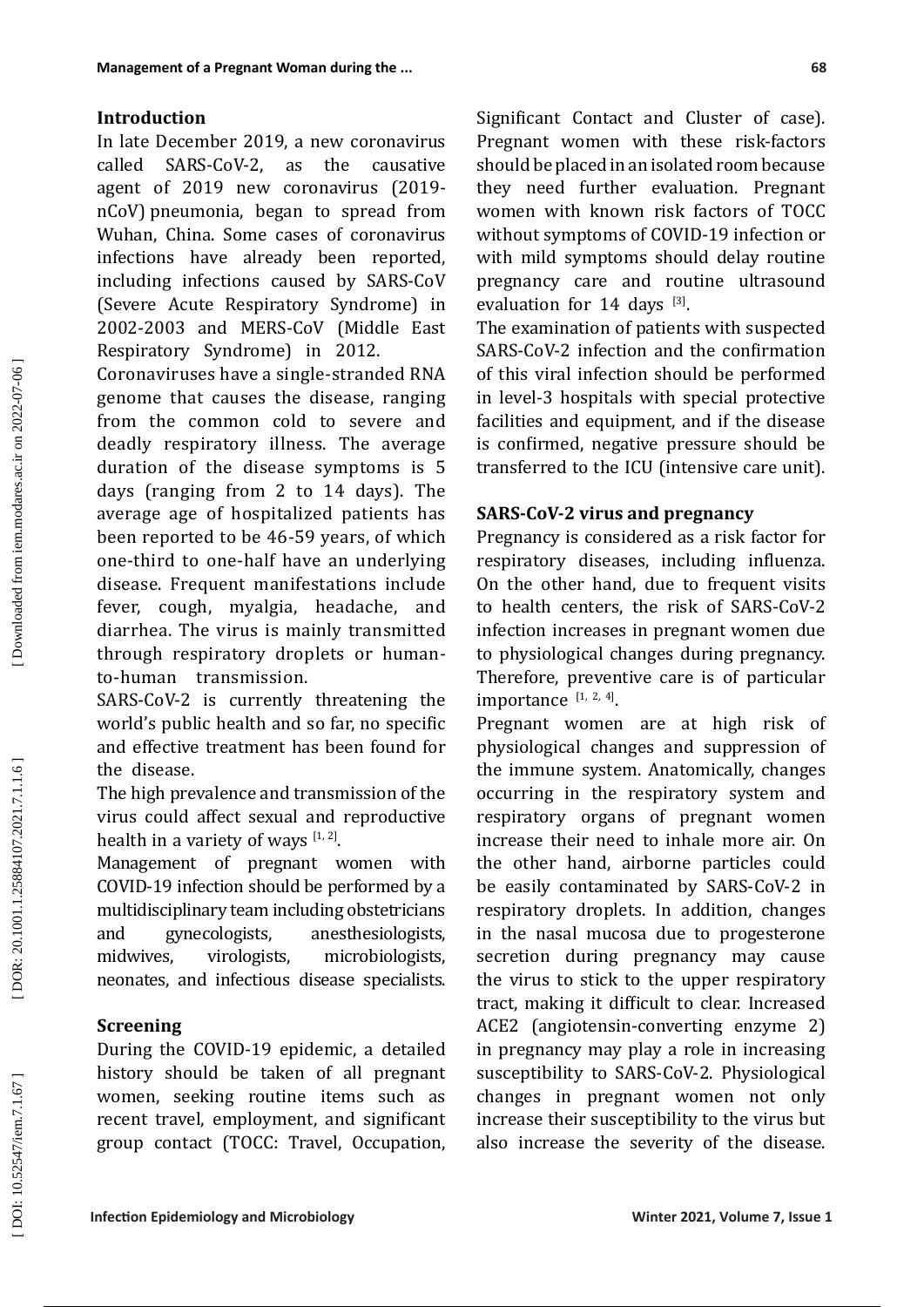### **Introduction**

In late December 2019, a new coronavirus called SARS-CoV-2, as the causative agent of 2019 new coronavirus (2019 nCoV) pneumonia, began to spread from Wuhan, China. Some cases of coronavirus infections have already been reported, including infections caused by SARS-CoV (Severe Acute Respiratory Syndrome) in 2002-2003 and MERS-CoV (Middle East Respiratory Syndrome) in 2012.

Coronaviruses have a single-stranded RNA genome that causes the disease, ranging from the common cold to severe and deadly respiratory illness. The average duration of the disease symptoms is 5 days (ranging from 2 to 14 days). The average age of hospitalized patients has been reported to be 46-59 years, of which one-third to one-half have an underlying disease. Frequent manifestations include fever, cough, myalgia, headache, and diarrhea. The virus is mainly transmitted through respiratory droplets or humanto-human transmission.

SARS-CoV-2 is currently threatening the world's public health and so far, no specific and effective treatment has been found for the disease.

The high prevalence and transmission of the virus could affect sexual and reproductive health in a variety of ways  $[1, 2]$ .

Management of pregnant women with COVID-19 infection should be performed by a multidisciplinary team including obstetricians<br>and gynecologists, anesthesiologists, and gynecologists, anesthesiologists, midwives, virologists, microbiologists, neonates, and infectious disease specialists.

### **Screening**

During the COVID-19 epidemic, a detailed history should be taken of all pregnant women, seeking routine items such as recent travel, employment, and significant group contact (TOCC: Travel, Occupation, Significant Contact and Cluster of case). Pregnant women with these risk-factors should be placed in an isolated room because they need further evaluation. Pregnant women with known risk factors of TOCC without symptoms of COVID-19 infection or with mild symptoms should delay routine pregnancy care and routine ultrasound evaluation for  $14$  days  $^{[3]}$ .

The examination of patients with suspected SARS-CoV-2 infection and the confirmation of this viral infection should be performed in level-3 hospitals with special protective facilities and equipment, and if the disease is confirmed, negative pressure should be transferred to the ICU (intensive care unit).

### **SARS-CoV-2 virus and pregnancy**

Pregnancy is considered as a risk factor for respiratory diseases, including influenza. On the other hand, due to frequent visits to health centers, the risk of SARS-CoV-2 infection increases in pregnant women due to physiological changes during pregnancy. Therefore, preventive care is of particular importance  $[1, 2, 4]$ .

Pregnant women are at high risk of physiological changes and suppression of the immune system. Anatomically, changes occurring in the respiratory system and respiratory organs of pregnant women increase their need to inhale more air. On the other hand, airborne particles could be easily contaminated by SARS-CoV-2 in respiratory droplets. In addition, changes in the nasal mucosa due to progesterone secretion during pregnancy may cause the virus to stick to the upper respiratory tract, making it difficult to clear. Increased ACE2 (angiotensin-converting enzyme 2) in pregnancy may play a role in increasing susceptibility to SARS-CoV-2. Physiological changes in pregnant women not only increase their susceptibility to the virus but also increase the severity of the disease.

DOI: 10.52547/iem.7.1.67]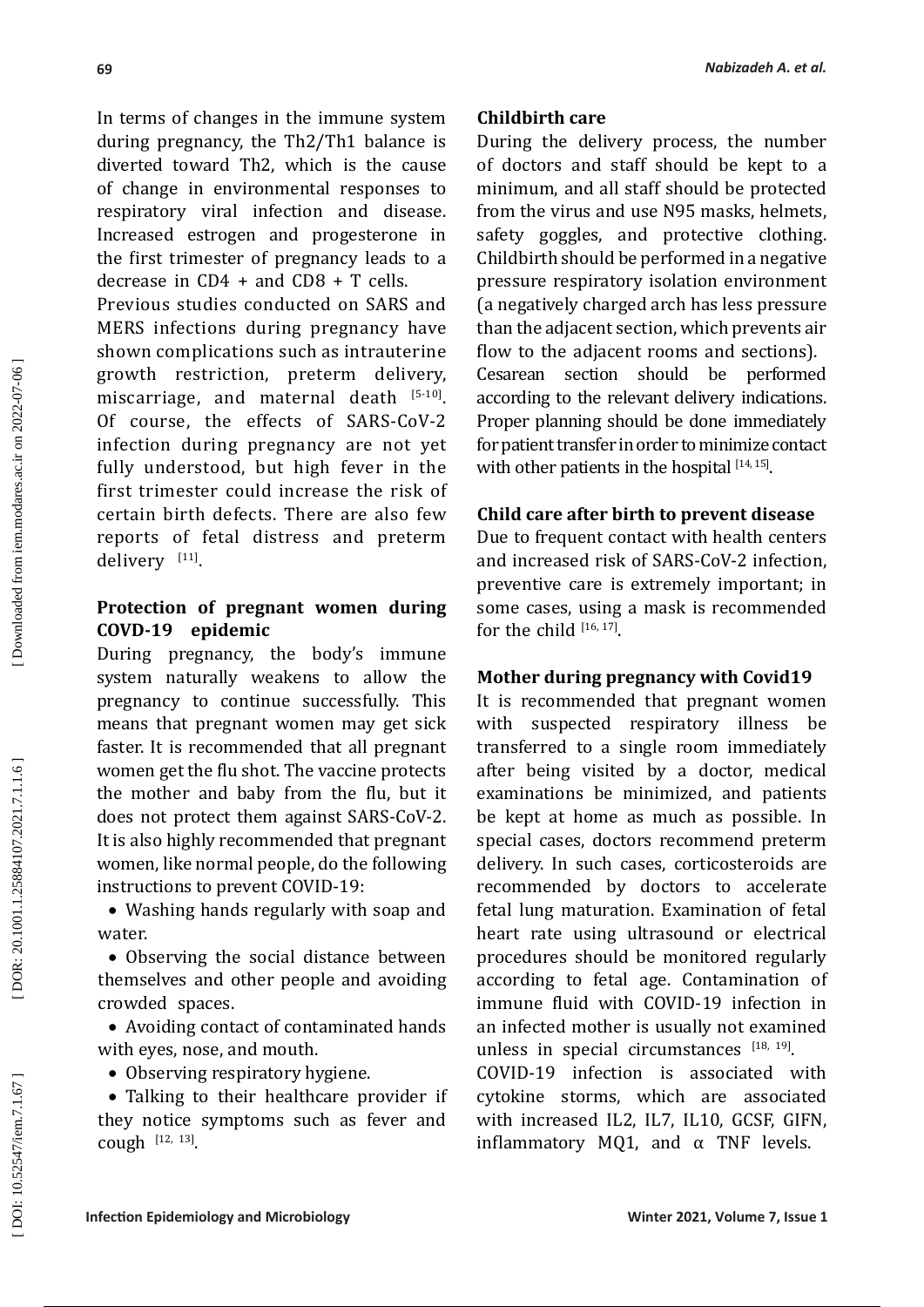In terms of changes in the immune system during pregnancy, the Th2/Th1 balance is diverted toward Th2, which is the cause of change in environmental responses to respiratory viral infection and disease. Increased estrogen and progesterone in the first trimester of pregnancy leads to a decrease in  $CD4 + and CD8 + T$  cells.

Previous studies conducted on SARS and MERS infections during pregnancy have shown complications such as intrauterine growth restriction, preterm delivery, miscarriage, and maternal death [5-10]. Of course, the effects of SARS-CoV-2 infection during pregnancy are not yet fully understood, but high fever in the first trimester could increase the risk of certain birth defects. There are also few reports of fetal distress and preterm delivery  $[11]$ .

### **Protection of pregnant women during COVD-19 epidemic**

During pregnancy, the body's immune system naturally weakens to allow the pregnancy to continue successfully. This means that pregnant women may get sick faster. It is recommended that all pregnant women get the flu shot. The vaccine protects the mother and baby from the flu, but it does not protect them against SARS-CoV-2. It is also highly recommended that pregnant women, like normal people, do the following instructions to prevent COVID-19:

• Washing hands regularly with soap and water.

• Observing the social distance between themselves and other people and avoiding crowded spaces.

• Avoiding contact of contaminated hands with eyes, nose, and mouth.

• Observing respiratory hygiene.

• Talking to their healthcare provider if they notice symptoms such as fever and cough  $[12, 13]$ .

#### *Nabizadeh A. et al.*

#### **Childbirth care**

During the delivery process, the number of doctors and staff should be kept to a minimum, and all staff should be protected from the virus and use N95 masks, helmets, safety goggles, and protective clothing. Childbirth should be performed in a negative pressure respiratory isolation environment (a negatively charged arch has less pressure than the adjacent section, which prevents air flow to the adjacent rooms and sections). Cesarean section should be performed according to the relevant delivery indications. Proper planning should be done immediately for patient transfer in order to minimize contact with other patients in the hospital  $[14, 15]$ .

### **Child care after birth to prevent disease**

Due to frequent contact with health centers and increased risk of SARS-CoV-2 infection, preventive care is extremely important; in some cases, using a mask is recommended for the child  $[16, 17]$ .

### **Mother during pregnancy with Covid19**

It is recommended that pregnant women with suspected respiratory illness be transferred to a single room immediately after being visited by a doctor, medical examinations be minimized, and patients be kept at home as much as possible. In special cases, doctors recommend preterm delivery. In such cases, corticosteroids are recommended by doctors to accelerate fetal lung maturation. Examination of fetal heart rate using ultrasound or electrical procedures should be monitored regularly according to fetal age. Contamination of immune fluid with COVID-19 infection in an infected mother is usually not examined unless in special circumstances  $[18, 19]$ .

COVID-19 infection is associated with cytokine storms, which are associated with increased IL2, IL7, IL10, GCSF, GIFN, inflammatory MQ1, and  $\alpha$  TNF levels.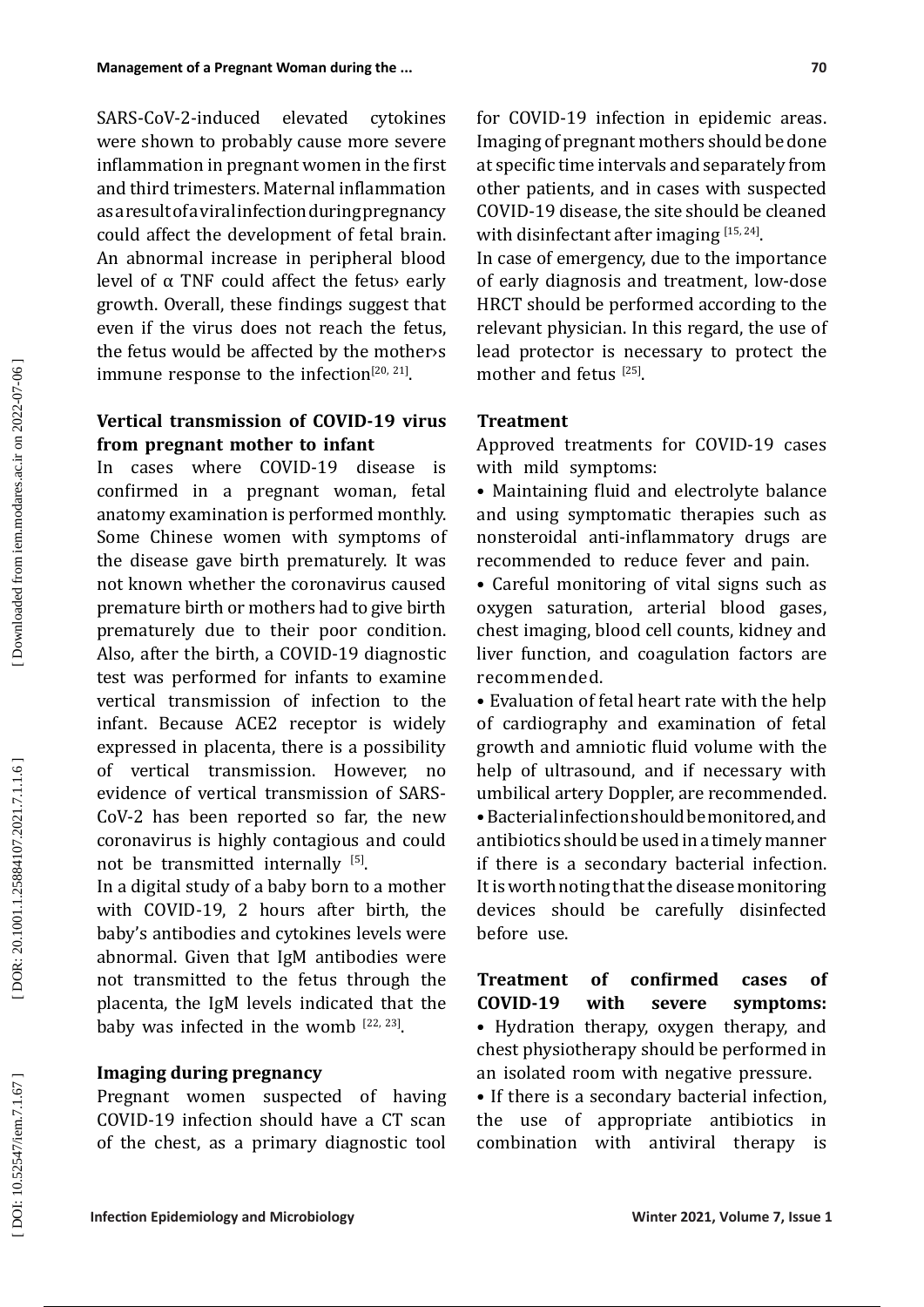SARS-CoV-2-induced elevated cytokines were shown to probably cause more severe inflammation in pregnant women in the first and third trimesters. Maternal inflammation as a result of a viral infection during pregnancy could affect the development of fetal brain. An abnormal increase in peripheral blood level of  $α$  TNF could affect the fetus early growth. Overall, these findings suggest that even if the virus does not reach the fetus, the fetus would be affected by the mother›s immune response to the infection $[20, 21]$ .

### **Vertical transmission of COVID-19 virus from pregnant mother to infant**

In cases where COVID-19 disease is confirmed in a pregnant woman, fetal anatomy examination is performed monthly. Some Chinese women with symptoms of the disease gave birth prematurely. It was not known whether the coronavirus caused premature birth or mothers had to give birth prematurely due to their poor condition. Also, after the birth, a COVID-19 diagnostic test was performed for infants to examine vertical transmission of infection to the infant. Because ACE2 receptor is widely expressed in placenta, there is a possibility of vertical transmission. However, no evidence of vertical transmission of SARS-CoV-2 has been reported so far, the new coronavirus is highly contagious and could not be transmitted internally <sup>[5]</sup>.

In a digital study of a baby born to a mother with COVID-19, 2 hours after birth, the baby's antibodies and cytokines levels were abnormal. Given that IgM antibodies were not transmitted to the fetus through the placenta, the IgM levels indicated that the baby was infected in the womb  $^{[22, 23]}$ .

#### **Imaging during pregnancy**

Pregnant women suspected of having COVID-19 infection should have a CT scan of the chest, as a primary diagnostic tool for COVID-19 infection in epidemic areas. Imaging of pregnant mothers should be done at specific time intervals and separately from other patients, and in cases with suspected COVID-19 disease, the site should be cleaned with disinfectant after imaging  $[15, 24]$ .

In case of emergency, due to the importance of early diagnosis and treatment, low-dose HRCT should be performed according to the relevant physician. In this regard, the use of lead protector is necessary to protect the mother and fetus  $[25]$ .

### **Treatment**

Approved treatments for COVID-19 cases with mild symptoms:

• Maintaining fluid and electrolyte balance and using symptomatic therapies such as nonsteroidal anti-inflammatory drugs are recommended to reduce fever and pain.

• Careful monitoring of vital signs such as oxygen saturation, arterial blood gases, chest imaging, blood cell counts, kidney and liver function, and coagulation factors are recommended.

• Evaluation of fetal heart rate with the help of cardiography and examination of fetal growth and amniotic fluid volume with the help of ultrasound, and if necessary with umbilical artery Doppler, are recommended. • Bacterial infection should be monitored, and antibiotics should be used in a timely manner if there is a secondary bacterial infection. It is worth noting that the disease monitoring devices should be carefully disinfected before use.

**Treatment of confirmed cases of COVID-19 with severe symptoms:** • Hydration therapy, oxygen therapy, and chest physiotherapy should be performed in an isolated room with negative pressure.

• If there is a secondary bacterial infection, the use of appropriate antibiotics in combination with antiviral therapy is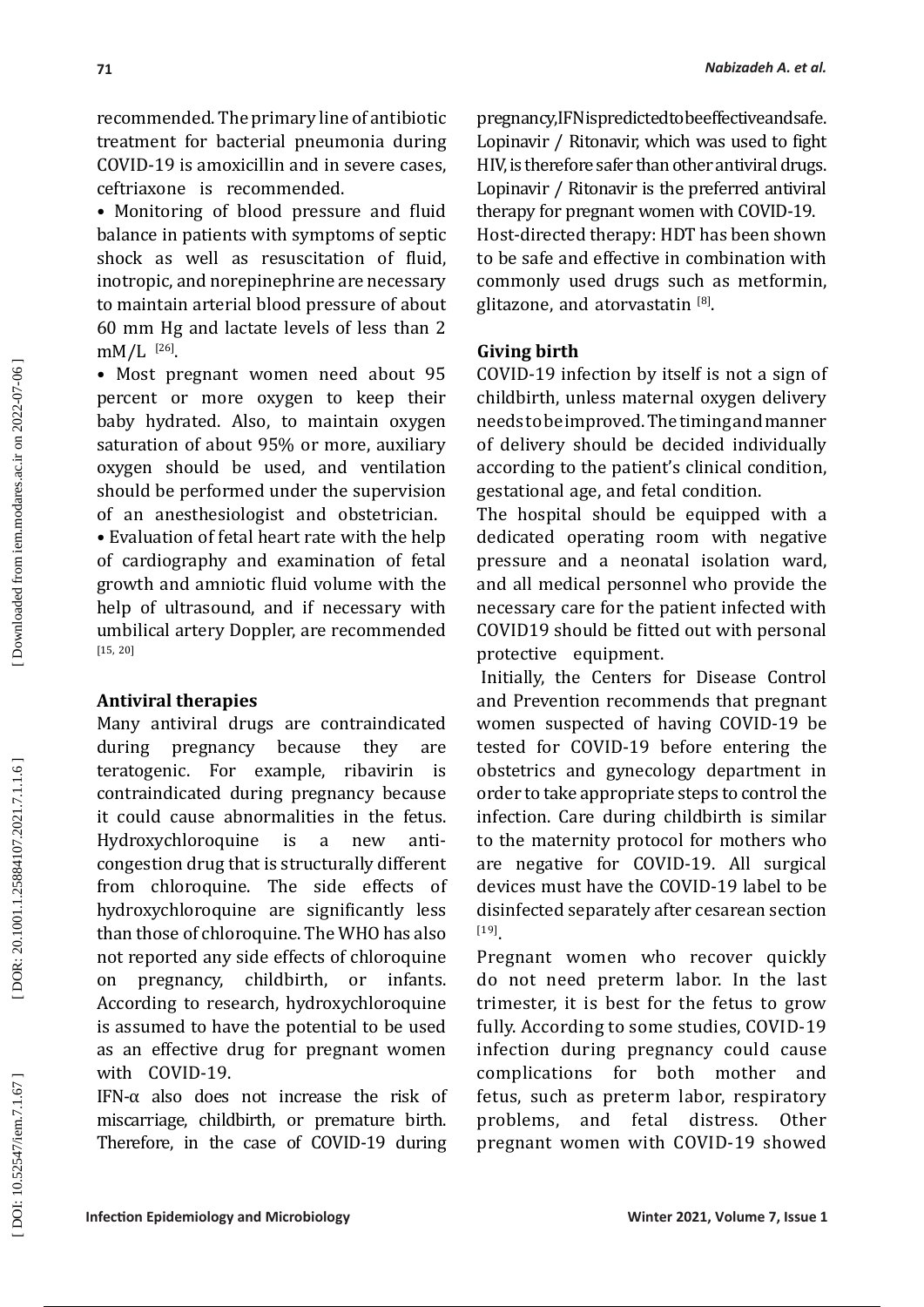recommended. The primary line of antibiotic treatment for bacterial pneumonia during COVID-19 is amoxicillin and in severe cases, ceftriaxone is recommended.

• Monitoring of blood pressure and fluid balance in patients with symptoms of septic shock as well as resuscitation of fluid, inotropic, and norepinephrine are necessary to maintain arterial blood pressure of about 60 mm Hg and lactate levels of less than 2  $\text{mM/L}$ <sup>[26]</sup>.

• Most pregnant women need about 95 percent or more oxygen to keep their baby hydrated. Also, to maintain oxygen saturation of about 95% or more, auxiliary oxygen should be used, and ventilation should be performed under the supervision of an anesthesiologist and obstetrician.

• Evaluation of fetal heart rate with the help of cardiography and examination of fetal growth and amniotic fluid volume with the help of ultrasound, and if necessary with umbilical artery Doppler, are recommended [15, 20]

#### **Antiviral therapies**

Many antiviral drugs are contraindicated during pregnancy because they are teratogenic. For example, ribavirin is contraindicated during pregnancy because it could cause abnormalities in the fetus. Hydroxychloroquine is a new anticongestion drug that is structurally different from chloroquine. The side effects of hydroxychloroquine are significantly less than those of chloroquine. The WHO has also not reported any side effects of chloroquine<br>on pregnancy, childbirth, or infants, on pregnancy, childbirth, or infants. According to research, hydroxychloroquine is assumed to have the potential to be used as an effective drug for pregnant women with COVID-19.

IFN- $\alpha$  also does not increase the risk of miscarriage, childbirth, or premature birth. Therefore, in the case of COVID-19 during

pregnancy, IFN is predicted to be effective and safe. Lopinavir / Ritonavir, which was used to fight HIV, is therefore safer than other antiviral drugs. Lopinavir / Ritonavir is the preferred antiviral therapy for pregnant women with COVID-19. Host-directed therapy: HDT has been shown to be safe and effective in combination with commonly used drugs such as metformin, glitazone, and atorvastatin <sup>[8]</sup>.

#### **Giving birth**

COVID-19 infection by itself is not a sign of childbirth, unless maternal oxygen delivery needs to be improved. The timing and manner of delivery should be decided individually according to the patient's clinical condition, gestational age, and fetal condition.

The hospital should be equipped with a dedicated operating room with negative pressure and a neonatal isolation ward, and all medical personnel who provide the necessary care for the patient infected with COVID19 should be fitted out with personal protective equipment.

Initially, the Centers for Disease Control and Prevention recommends that pregnant women suspected of having COVID-19 be tested for COVID-19 before entering the obstetrics and gynecology department in order to take appropriate steps to control the infection. Care during childbirth is similar to the maternity protocol for mothers who are negative for COVID-19. All surgical devices must have the COVID-19 label to be disinfected separately after cesarean section [19] .

Pregnant women who recover quickly do not need preterm labor. In the last trimester, it is best for the fetus to grow fully. According to some studies, COVID-19 infection during pregnancy could cause complications for both mother and fetus, such as preterm labor, respiratory<br>problems. and fetal distress. Other problems, and fetal distress. Other pregnant women with COVID-19 showed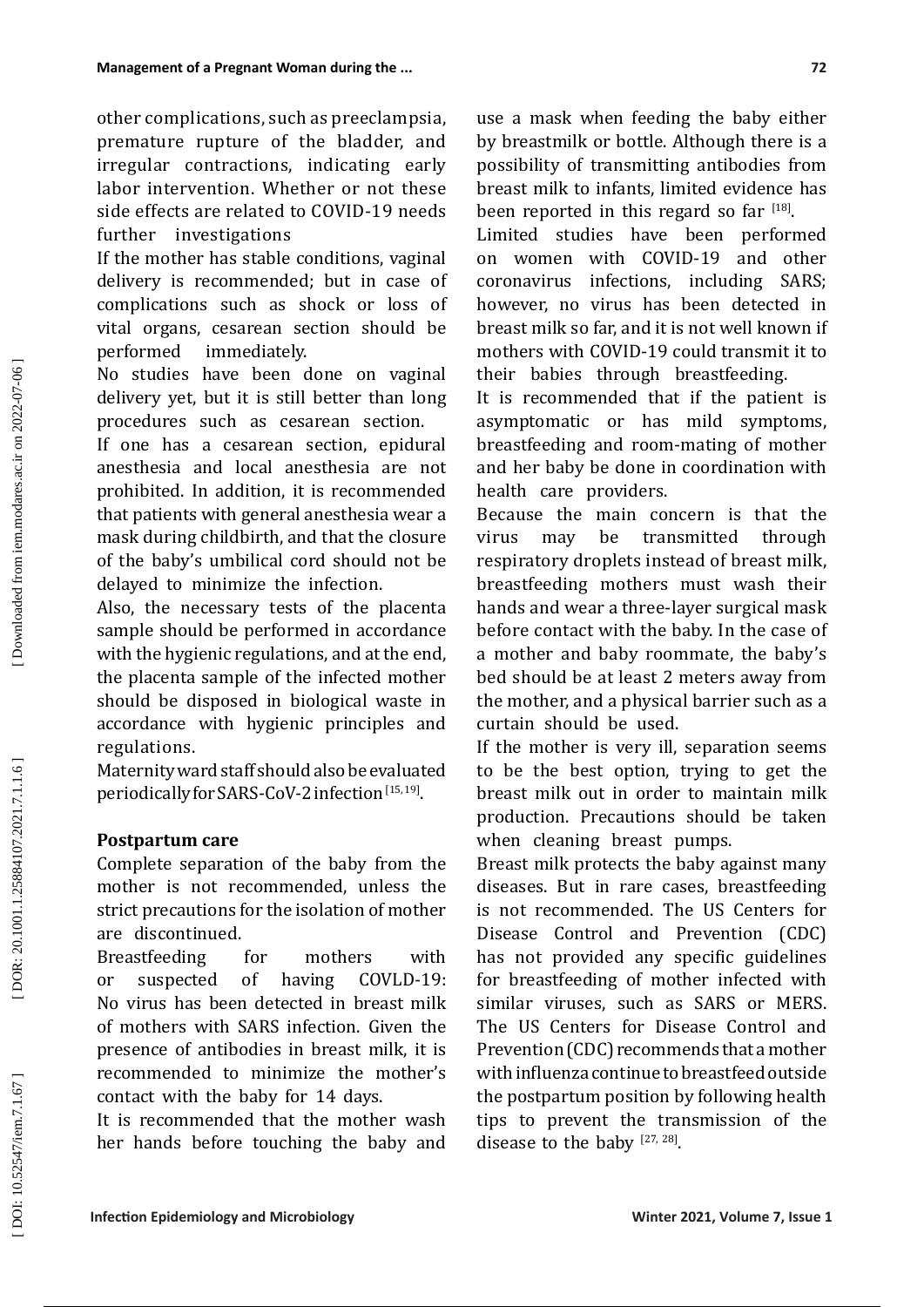other complications, such as preeclampsia, premature rupture of the bladder, and irregular contractions, indicating early labor intervention. Whether or not these side effects are related to COVID-19 needs further investigations

If the mother has stable conditions, vaginal delivery is recommended; but in case of complications such as shock or loss of vital organs, cesarean section should be immediately.

No studies have been done on vaginal delivery yet, but it is still better than long procedures such as cesarean section.

If one has a cesarean section, epidural anesthesia and local anesthesia are not prohibited. In addition, it is recommended that patients with general anesthesia wear a mask during childbirth, and that the closure of the baby's umbilical cord should not be delayed to minimize the infection.

Also, the necessary tests of the placenta sample should be performed in accordance with the hygienic regulations, and at the end, the placenta sample of the infected mother should be disposed in biological waste in accordance with hygienic principles and regulations.

Maternity ward staff should also be evaluated periodically for SARS-CoV-2 infection [15, 19] .

### **Postpartum care**

Complete separation of the baby from the mother is not recommended, unless the strict precautions for the isolation of mother are discontinued.

Breastfeeding for mothers with<br>or suspected of having COVLD-19: or suspected of having No virus has been detected in breast milk of mothers with SARS infection. Given the presence of antibodies in breast milk, it is recommended to minimize the mother's contact with the baby for 14 days .

It is recommended that the mother wash her hands before touching the baby and use a mask when feeding the baby either by breastmilk or bottle. Although there is a possibility of transmitting antibodies from breast milk to infants, limited evidence has been reported in this regard so far  $1^{18}$ .

Limited studies have been performed on women with COVID-19 and other coronavirus infections, including SARS; however, no virus has been detected in breast milk so far, and it is not well known if mothers with COVID-19 could transmit it to their babies through breastfeeding.

It is recommended that if the patient is asymptomatic or has mild symptoms, breastfeeding and room-mating of mother and her baby be done in coordination with health care providers.

Because the main concern is that the<br>virus may be transmitted through virus may be transmitted through respiratory droplets instead of breast milk, breastfeeding mothers must wash their hands and wear a three-layer surgical mask before contact with the baby. In the case of a mother and baby roommate, the baby's bed should be at least 2 meters away from the mother, and a physical barrier such as a curtain should be used.

If the mother is very ill, separation seems to be the best option, trying to get the breast milk out in order to maintain milk production. Precautions should be taken when cleaning breast pumps.

Breast milk protects the baby against many diseases. But in rare cases, breastfeeding is not recommended. The US Centers for Disease Control and Prevention (CDC) has not provided any specific guidelines for breastfeeding of mother infected with similar viruses, such as SARS or MERS. The US Centers for Disease Control and Prevention (CDC) recommends that a mother with influenza continue to breastfeed outside the postpartum position by following health tips to prevent the transmission of the disease to the baby  $[27, 28]$ .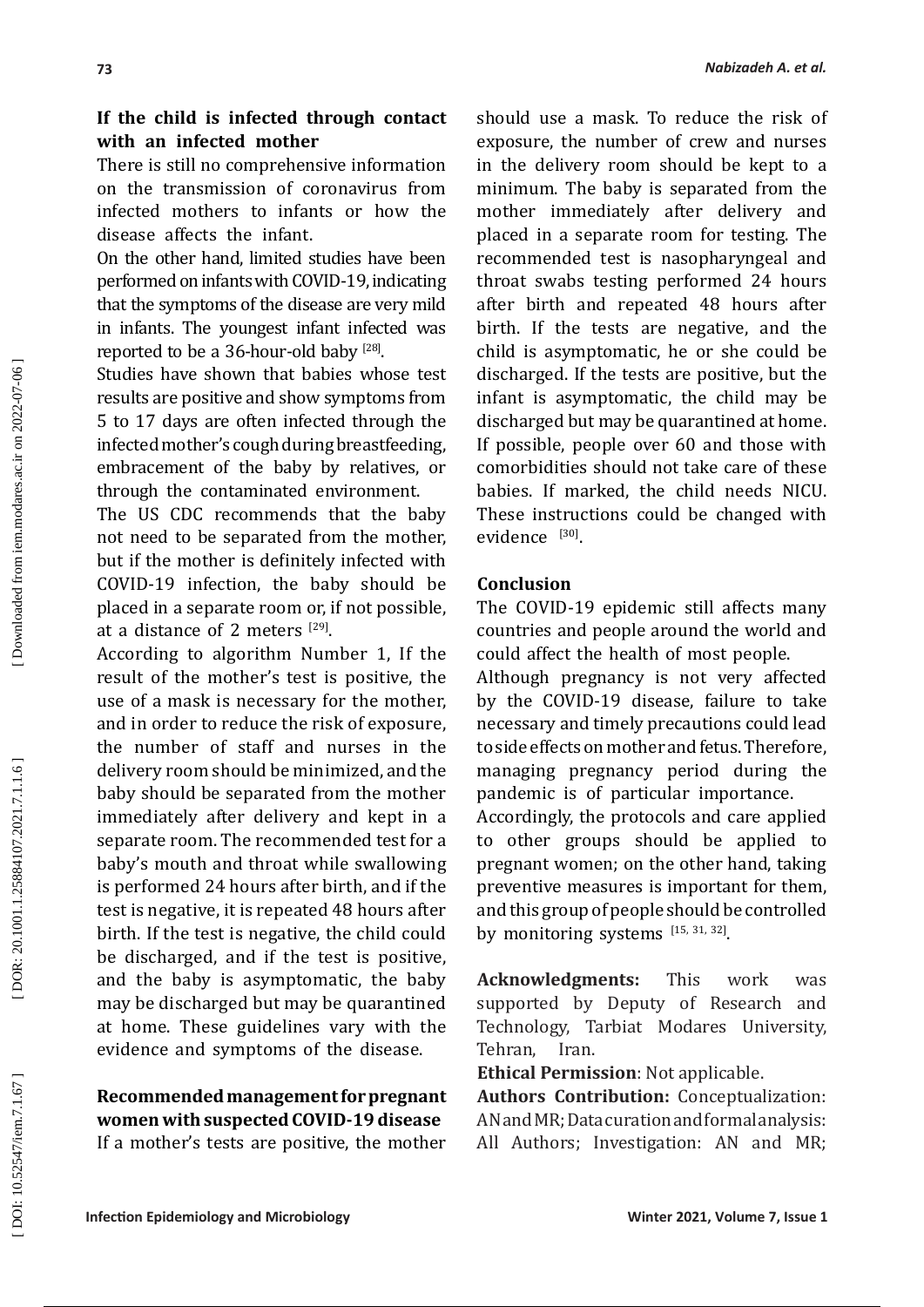### **If the child is infected through contact with an infected mother**

There is still no comprehensive information on the transmission of coronavirus from infected mothers to infants or how the disease affects the infant.

On the other hand, limited studies have been performed on infants with COVID-19, indicating that the symptoms of the disease are very mild in infants. The youngest infant infected was reported to be a 36-hour-old baby  $^{[28]}$ .

Studies have shown that babies whose test results are positive and show symptoms from 5 to 17 days are often infected through the infected mother's cough during breastfeeding, embracement of the baby by relatives, or through the contaminated environment.

The US CDC recommends that the baby not need to be separated from the mother, but if the mother is definitely infected with COVID-19 infection, the baby should be placed in a separate room or, if not possible, at a distance of 2 meters  $[29]$ .

According to algorithm Number 1, If the result of the mother's test is positive, the use of a mask is necessary for the mother, and in order to reduce the risk of exposure, the number of staff and nurses in the delivery room should be minimized, and the baby should be separated from the mother immediately after delivery and kept in a separate room. The recommended test for a baby's mouth and throat while swallowing is performed 24 hours after birth, and if the test is negative, it is repeated 48 hours after birth. If the test is negative, the child could be discharged, and if the test is positive, and the baby is asymptomatic, the baby may be discharged but may be quarantined at home. These guidelines vary with the evidence and symptoms of the disease.

## **Recommended management for pregnant women with suspected COVID-19 disease**

If a mother's tests are positive, the mother

should use a mask. To reduce the risk of exposure, the number of crew and nurses in the delivery room should be kept to a minimum. The baby is separated from the mother immediately after delivery and placed in a separate room for testing. The recommended test is nasopharyngeal and throat swabs testing performed 24 hours after birth and repeated 48 hours after birth. If the tests are negative, and the child is asymptomatic, he or she could be discharged. If the tests are positive, but the infant is asymptomatic, the child may be discharged but may be quarantined at home. If possible, people over 60 and those with comorbidities should not take care of these babies. If marked, the child needs NICU. These instructions could be changed with  $e$ vidence  $[30]$ .

### **Conclusion**

The COVID-19 epidemic still affects many countries and people around the world and could affect the health of most people . Although pregnancy is not very affected by the COVID-19 disease, failure to take necessary and timely precautions could lead to side effects on mother and fetus. Therefore, managing pregnancy period during the pandemic is of particular importance. Accordingly, the protocols and care applied to other groups should be applied to pregnant women; on the other hand, taking preventive measures is important for them, and this group of people should be controlled by monitoring systems  $[15, 31, 32]$ .

**Acknowledgments:** This work was supported by Deputy of Research and Technology, Tarbiat Modares University, Tehran, Iran.

**Ethical Permission**: Not applicable.

**Authors Contribution:** Conceptualization: AN and MR; Data curation and formal analysis: All Authors; Investigation: AN and MR;

Downloaded from iem.modares.ac.ir on 2022-07-06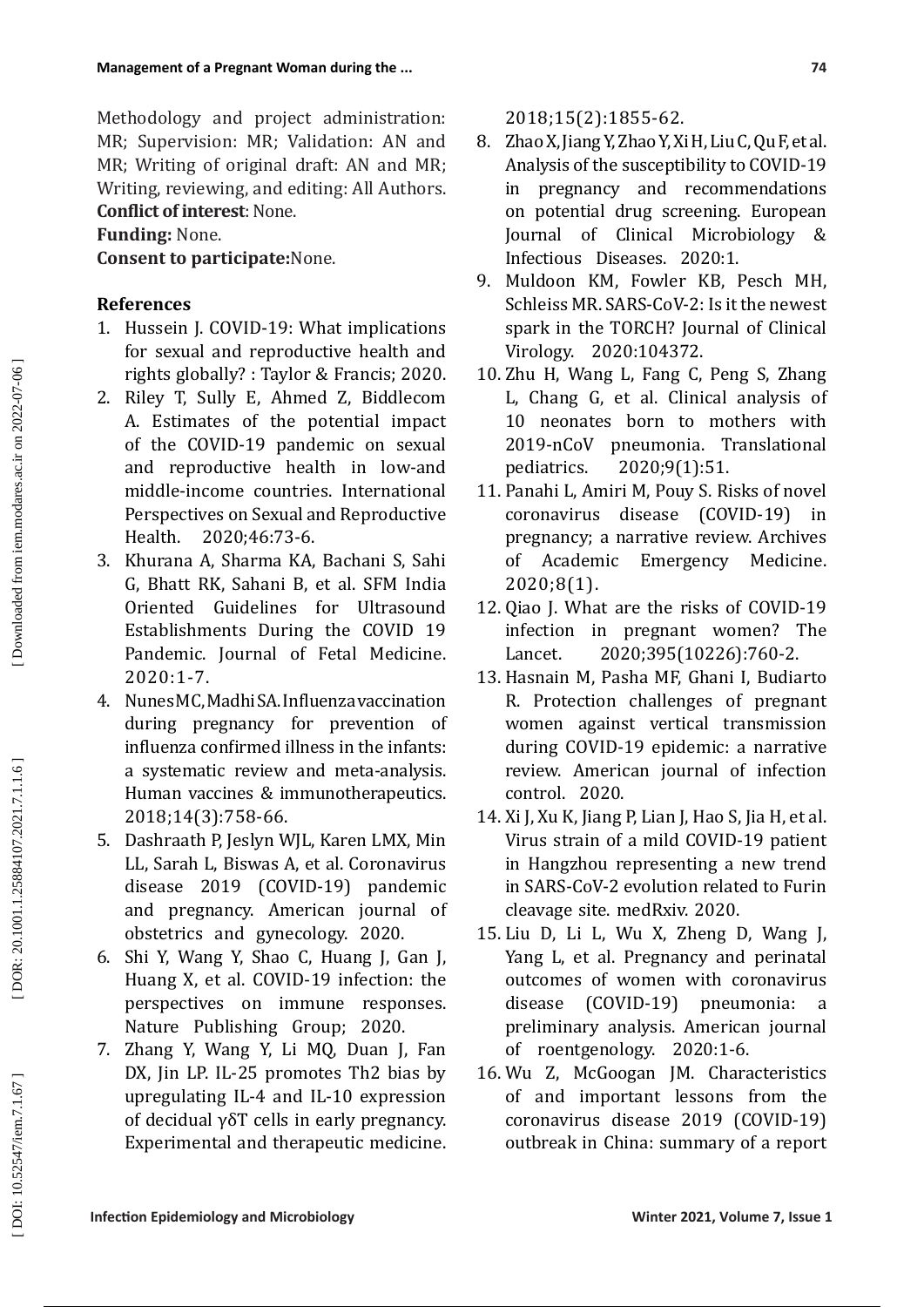Methodology and project administration: MR; Supervision: MR; Validation: AN and MR; Writing of original draft: AN and MR; Writing, reviewing, and editing: All Authors. **Conflict of interest**: None.

## **Funding:** None.

**Consent to participate:**None.

### **References**

- 1. Hussein J. COVID-19: What implications for sexual and reproductive health and rights globally? : Taylor & Francis; 2020.
- 2. Riley T, Sully E, Ahmed Z, Biddlecom A. Estimates of the potential impact of the COVID-19 pandemic on sexual and reproductive health in low-and middle-income countries. International Perspectives on Sexual and Reproductive<br>Health. 2020;46:73-6. 2020;46:73-6.
- 3. Khurana A, Sharma KA, Bachani S, Sahi G, Bhatt RK, Sahani B, et al. SFM India Oriented Guidelines for Ultrasound Establishments During the COVID 19 Pandemic. Journal of Fetal Medicine. 2020:1-7.
- 4. Nunes MC, Madhi SA. Influenza vaccination during pregnancy for prevention of influenza confirmed illness in the infants: a systematic review and meta-analysis. Human vaccines & immunotherapeutics. 2018;14(3):758-66.
- 5. Dashraath P, Jeslyn WJL, Karen LMX, Min LL, Sarah L, Biswas A, et al. Coronavirus disease 2019 (COVID-19) pandemic and pregnancy. American journal of obstetrics and gynecology. 2020.
- 6. Shi Y, Wang Y, Shao C, Huang J, Gan J, Huang X, et al. COVID-19 infection: the perspectives on immune responses. Nature Publishing Group; 2020.
- 7. Zhang Y, Wang Y, Li MQ, Duan J, Fan DX, Jin LP. IL-25 promotes Th2 bias by upregulating IL-4 and IL-10 expression of decidual γδT cells in early pregnancy. Experimental and therapeutic medicine.

2018;15(2):1855-62.

- 8. Zhao X, Jiang Y, Zhao Y, Xi H, Liu C, Qu F, et al. Analysis of the susceptibility to COVID-19 in pregnancy and recommendations on potential drug screening. European Journal of Clinical Microbiology & Infectious Diseases. 2020:1.
- 9. Muldoon KM, Fowler KB, Pesch MH, Schleiss MR. SARS-CoV-2: Is it the newest spark in the TORCH? Journal of Clinical Virology. 2020:104372.
- 10. Zhu H, Wang L, Fang C, Peng S, Zhang L, Chang G, et al. Clinical analysis of 10 neonates born to mothers with 2019-nCoV pneumonia. Translational<br>pediatrics. 2020;9(1):51. pediatrics. 2020;9(1):51.
- 11. Panahi L, Amiri M, Pouy S. Risks of novel coronavirus disease (COVID-19) pregnancy; a narrative review. Archives of Academic Emergency Medicine. 2020;8(1).
- 12. Qiao J. What are the risks of COVID-19 infection in pregnant women? The<br>Lancet. 2020;395(10226):760-2. 2020;395(10226):760-2.
- 13. Hasnain M, Pasha MF, Ghani I, Budiarto R. Protection challenges of pregnant women against vertical transmission during COVID-19 epidemic: a narrative review. American journal of infection control. 2020.
- 14. Xi J, Xu K, Jiang P, Lian J, Hao S, Jia H, et al. Virus strain of a mild COVID-19 patient in Hangzhou representing a new trend in SARS-CoV-2 evolution related to Furin cleavage site. medRxiv. 2020.
- 15. Liu D, Li L, Wu X, Zheng D, Wang J, Yang L, et al. Pregnancy and perinatal outcomes of women with coronavirus disease (COVID-19) pneumonia: a preliminary analysis. American journal of roentgenology. 2020:1-6.
- 16. Wu Z, McGoogan JM. Characteristics of and important lessons from the coronavirus disease 2019 (COVID-19) outbreak in China: summary of a report

DOI: 10.52547/iem.7.1.67